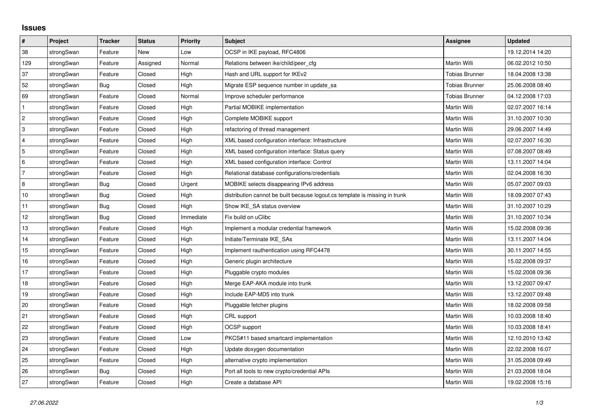## **Issues**

| #              | Project    | <b>Tracker</b> | <b>Status</b> | <b>Priority</b> | <b>Subject</b>                                                              | <b>Assignee</b>       | <b>Updated</b>   |
|----------------|------------|----------------|---------------|-----------------|-----------------------------------------------------------------------------|-----------------------|------------------|
| 38             | strongSwan | Feature        | <b>New</b>    | Low             | OCSP in IKE payload, RFC4806                                                |                       | 19.12.2014 14:20 |
| 129            | strongSwan | Feature        | Assigned      | Normal          | Relations between ike/child/peer cfg                                        | Martin Willi          | 06.02.2012 10:50 |
| 37             | strongSwan | Feature        | Closed        | High            | Hash and URL support for IKEv2                                              | <b>Tobias Brunner</b> | 18.04.2008 13:38 |
| 52             | strongSwan | Bug            | Closed        | High            | Migrate ESP sequence number in update sa                                    | Tobias Brunner        | 25.06.2008 08:40 |
| 69             | strongSwan | Feature        | Closed        | Normal          | Improve scheduler performance                                               | <b>Tobias Brunner</b> | 04.12.2008 17:03 |
| $\mathbf{1}$   | strongSwan | Feature        | Closed        | High            | Partial MOBIKE implementation                                               | Martin Willi          | 02.07.2007 16:14 |
| $\overline{2}$ | strongSwan | Feature        | Closed        | High            | Complete MOBIKE support                                                     | Martin Willi          | 31.10.2007 10:30 |
| 3              | strongSwan | Feature        | Closed        | High            | refactoring of thread management                                            | Martin Willi          | 29.06.2007 14:49 |
| 4              | strongSwan | Feature        | Closed        | High            | XML based configuration interface: Infrastructure                           | Martin Willi          | 02.07.2007 16:30 |
| $\overline{5}$ | strongSwan | Feature        | Closed        | High            | XML based configuration interface: Status query                             | Martin Willi          | 07.08.2007 08:49 |
| 6              | strongSwan | Feature        | Closed        | High            | XML based configuration interface: Control                                  | Martin Willi          | 13.11.2007 14:04 |
| 7              | strongSwan | Feature        | Closed        | High            | Relational database configurations/credentials                              | Martin Willi          | 02.04.2008 16:30 |
| 8              | strongSwan | Bug            | Closed        | Urgent          | MOBIKE selects disappearing IPv6 address                                    | Martin Willi          | 05.07.2007 09:03 |
| 10             | strongSwan | Bug            | Closed        | High            | distribution cannot be built because logout.cs template is missing in trunk | Martin Willi          | 18.09.2007 07:43 |
| 11             | strongSwan | Bug            | Closed        | High            | Show IKE SA status overview                                                 | Martin Willi          | 31.10.2007 10:29 |
| 12             | strongSwan | Bug            | Closed        | Immediate       | Fix build on uClibc                                                         | Martin Willi          | 31.10.2007 10:34 |
| 13             | strongSwan | Feature        | Closed        | High            | Implement a modular credential framework                                    | Martin Willi          | 15.02.2008 09:36 |
| 14             | strongSwan | Feature        | Closed        | High            | Initiate/Terminate IKE_SAs                                                  | Martin Willi          | 13.11.2007 14:04 |
| 15             | strongSwan | Feature        | Closed        | High            | Implement rauthentication using RFC4478                                     | Martin Willi          | 30.11.2007 14:55 |
| 16             | strongSwan | Feature        | Closed        | High            | Generic plugin architecture                                                 | Martin Willi          | 15.02.2008 09:37 |
| 17             | strongSwan | Feature        | Closed        | High            | Pluggable crypto modules                                                    | Martin Willi          | 15.02.2008 09:36 |
| 18             | strongSwan | Feature        | Closed        | High            | Merge EAP-AKA module into trunk                                             | Martin Willi          | 13.12.2007 09:47 |
| 19             | strongSwan | Feature        | Closed        | High            | Include EAP-MD5 into trunk                                                  | Martin Willi          | 13.12.2007 09:48 |
| 20             | strongSwan | Feature        | Closed        | High            | Pluggable fetcher plugins                                                   | Martin Willi          | 18.02.2008 09:58 |
| 21             | strongSwan | Feature        | Closed        | High            | CRL support                                                                 | Martin Willi          | 10.03.2008 18:40 |
| 22             | strongSwan | Feature        | Closed        | High            | OCSP support                                                                | Martin Willi          | 10.03.2008 18:41 |
| 23             | strongSwan | Feature        | Closed        | Low             | PKCS#11 based smartcard implementation                                      | Martin Willi          | 12.10.2010 13:42 |
| 24             | strongSwan | Feature        | Closed        | High            | Update doxygen documentation                                                | Martin Willi          | 22.02.2008 16:07 |
| 25             | strongSwan | Feature        | Closed        | High            | alternative crypto implementation                                           | Martin Willi          | 31.05.2008 09:49 |
| 26             | strongSwan | Bug            | Closed        | High            | Port all tools to new crypto/credential APIs                                | Martin Willi          | 21.03.2008 18:04 |
| 27             | strongSwan | Feature        | Closed        | High            | Create a database API                                                       | Martin Willi          | 19.02.2008 15:16 |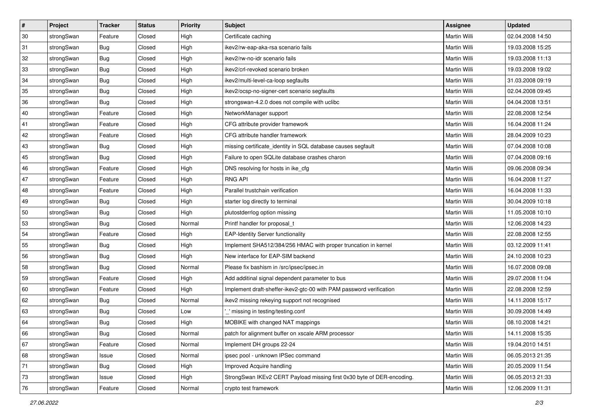| $\vert$ # | Project    | <b>Tracker</b> | <b>Status</b> | Priority | <b>Subject</b>                                                         | <b>Assignee</b> | <b>Updated</b>   |
|-----------|------------|----------------|---------------|----------|------------------------------------------------------------------------|-----------------|------------------|
| 30        | strongSwan | Feature        | Closed        | High     | Certificate caching                                                    | Martin Willi    | 02.04.2008 14:50 |
| 31        | strongSwan | Bug            | Closed        | High     | ikev2/rw-eap-aka-rsa scenario fails                                    | Martin Willi    | 19.03.2008 15:25 |
| 32        | strongSwan | <b>Bug</b>     | Closed        | High     | ikev2/rw-no-idr scenario fails                                         | Martin Willi    | 19.03.2008 11:13 |
| 33        | strongSwan | <b>Bug</b>     | Closed        | High     | ikev2/crl-revoked scenario broken                                      | Martin Willi    | 19.03.2008 19:02 |
| 34        | strongSwan | Bug            | Closed        | High     | ikev2/multi-level-ca-loop segfaults                                    | Martin Willi    | 31.03.2008 09:19 |
| 35        | strongSwan | <b>Bug</b>     | Closed        | High     | ikev2/ocsp-no-signer-cert scenario segfaults                           | Martin Willi    | 02.04.2008 09:45 |
| 36        | strongSwan | Bug            | Closed        | High     | strongswan-4.2.0 does not compile with uclibc                          | Martin Willi    | 04.04.2008 13:51 |
| 40        | strongSwan | Feature        | Closed        | High     | NetworkManager support                                                 | Martin Willi    | 22.08.2008 12:54 |
| 41        | strongSwan | Feature        | Closed        | High     | CFG attribute provider framework                                       | Martin Willi    | 16.04.2008 11:24 |
| 42        | strongSwan | Feature        | Closed        | High     | CFG attribute handler framework                                        | Martin Willi    | 28.04.2009 10:23 |
| 43        | strongSwan | <b>Bug</b>     | Closed        | High     | missing certificate_identity in SQL database causes segfault           | Martin Willi    | 07.04.2008 10:08 |
| 45        | strongSwan | <b>Bug</b>     | Closed        | High     | Failure to open SQLite database crashes charon                         | Martin Willi    | 07.04.2008 09:16 |
| 46        | strongSwan | Feature        | Closed        | High     | DNS resolving for hosts in ike_cfg                                     | Martin Willi    | 09.06.2008 09:34 |
| 47        | strongSwan | Feature        | Closed        | High     | <b>RNG API</b>                                                         | Martin Willi    | 16.04.2008 11:27 |
| 48        | strongSwan | Feature        | Closed        | High     | Parallel trustchain verification                                       | Martin Willi    | 16.04.2008 11:33 |
| 49        | strongSwan | <b>Bug</b>     | Closed        | High     | starter log directly to terminal                                       | Martin Willi    | 30.04.2009 10:18 |
| 50        | strongSwan | <b>Bug</b>     | Closed        | High     | plutostderrlog option missing                                          | Martin Willi    | 11.05.2008 10:10 |
| 53        | strongSwan | Bug            | Closed        | Normal   | Printf handler for proposal_t                                          | Martin Willi    | 12.06.2008 14:23 |
| 54        | strongSwan | Feature        | Closed        | High     | <b>EAP-Identity Server functionality</b>                               | Martin Willi    | 22.08.2008 12:55 |
| 55        | strongSwan | Bug            | Closed        | High     | Implement SHA512/384/256 HMAC with proper truncation in kernel         | Martin Willi    | 03.12.2009 11:41 |
| 56        | strongSwan | <b>Bug</b>     | Closed        | High     | New interface for EAP-SIM backend                                      | Martin Willi    | 24.10.2008 10:23 |
| 58        | strongSwan | <b>Bug</b>     | Closed        | Normal   | Please fix bashism in /src/ipsec/ipsec.in                              | Martin Willi    | 16.07.2008 09:08 |
| 59        | strongSwan | Feature        | Closed        | High     | Add additinal signal dependent parameter to bus                        | Martin Willi    | 29.07.2008 11:04 |
| 60        | strongSwan | Feature        | Closed        | High     | Implement draft-sheffer-ikev2-gtc-00 with PAM password verification    | Martin Willi    | 22.08.2008 12:59 |
| 62        | strongSwan | <b>Bug</b>     | Closed        | Normal   | ikev2 missing rekeying support not recognised                          | Martin Willi    | 14.11.2008 15:17 |
| 63        | strongSwan | <b>Bug</b>     | Closed        | Low      | " missing in testing/testing.conf                                      | Martin Willi    | 30.09.2008 14:49 |
| 64        | strongSwan | Bug            | Closed        | High     | MOBIKE with changed NAT mappings                                       | Martin Willi    | 08.10.2008 14:21 |
| 66        | strongSwan | Bug            | Closed        | Normal   | patch for alignment buffer on xscale ARM processor                     | Martin Willi    | 14.11.2008 15:35 |
| 67        | strongSwan | Feature        | Closed        | Normal   | Implement DH groups 22-24                                              | Martin Willi    | 19.04.2010 14:51 |
| 68        | strongSwan | Issue          | Closed        | Normal   | ipsec pool - unknown IPSec command                                     | Martin Willi    | 06.05.2013 21:35 |
| 71        | strongSwan | Bug            | Closed        | High     | Improved Acquire handling                                              | Martin Willi    | 20.05.2009 11:54 |
| 73        | strongSwan | Issue          | Closed        | High     | StrongSwan IKEv2 CERT Payload missing first 0x30 byte of DER-encoding. | Martin Willi    | 06.05.2013 21:33 |
| 76        | strongSwan | Feature        | Closed        | Normal   | crypto test framework                                                  | Martin Willi    | 12.06.2009 11:31 |